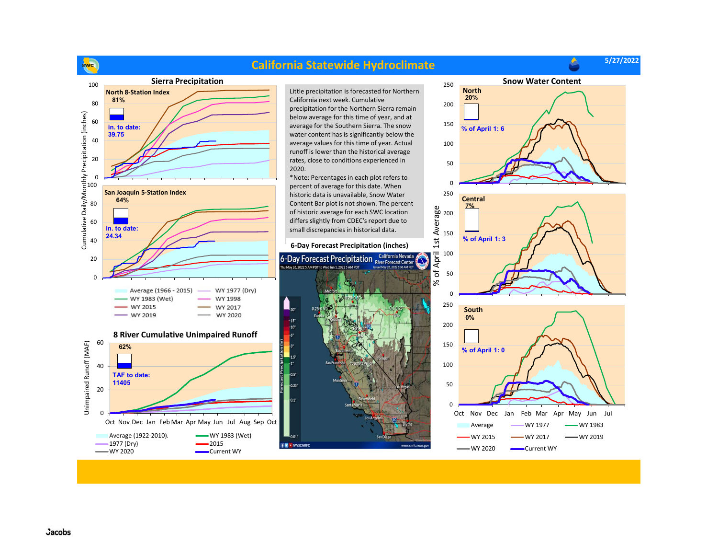